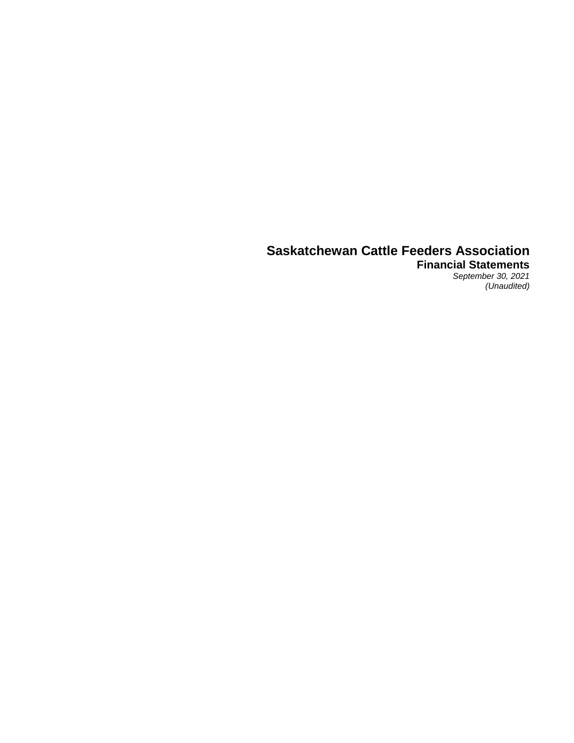**Financial Statements** *September 30, 2021 (Unaudited)*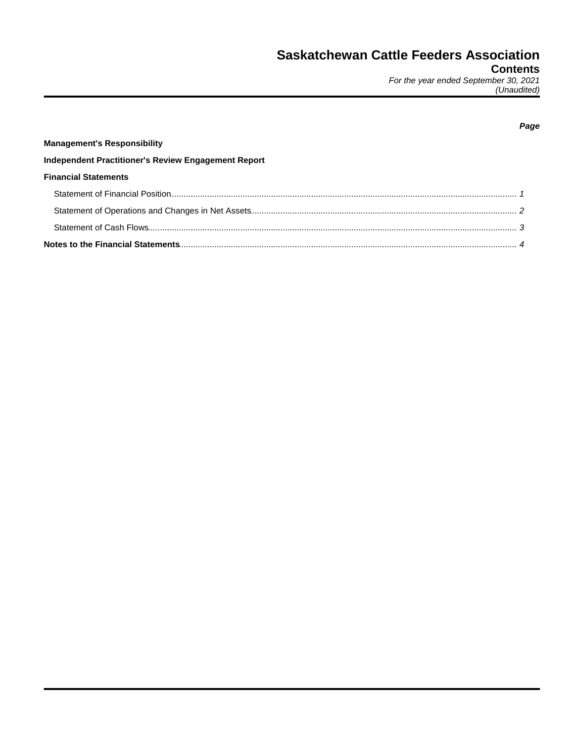(Unaudited)

| <b>Management's Responsibility</b>                  |  |
|-----------------------------------------------------|--|
| Independent Practitioner's Review Engagement Report |  |
| <b>Financial Statements</b>                         |  |
|                                                     |  |
|                                                     |  |
|                                                     |  |
|                                                     |  |

## Page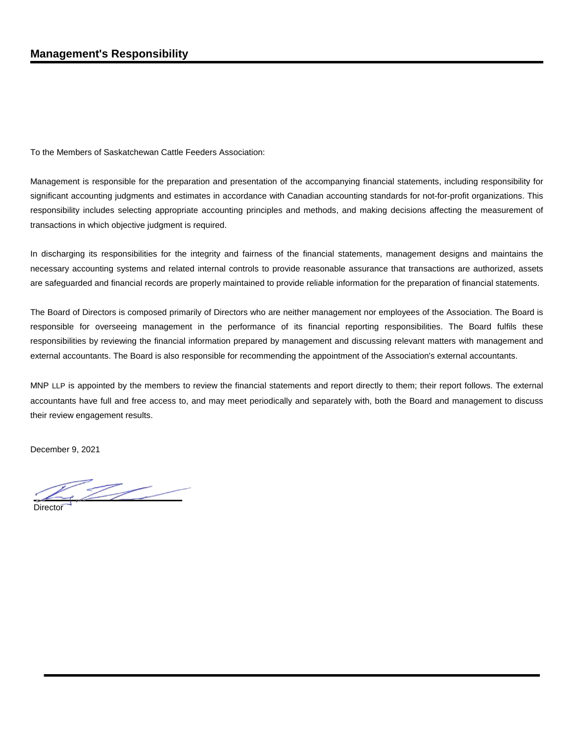To the Members of Saskatchewan Cattle Feeders Association:

Management is responsible for the preparation and presentation of the accompanying financial statements, including responsibility for significant accounting judgments and estimates in accordance with Canadian accounting standards for not-for-profit organizations. This responsibility includes selecting appropriate accounting principles and methods, and making decisions affecting the measurement of transactions in which objective judgment is required.

In discharging its responsibilities for the integrity and fairness of the financial statements, management designs and maintains the necessary accounting systems and related internal controls to provide reasonable assurance that transactions are authorized, assets are safeguarded and financial records are properly maintained to provide reliable information for the preparation of financial statements.

The Board of Directors is composed primarily of Directors who are neither management nor employees of the Association. The Board is responsible for overseeing management in the performance of its financial reporting responsibilities. The Board fulfils these responsibilities by reviewing the financial information prepared by management and discussing relevant matters with management and external accountants. The Board is also responsible for recommending the appointment of the Association's external accountants.

MNP LLP is appointed by the members to review the financial statements and report directly to them; their report follows. The external accountants have full and free access to, and may meet periodically and separately with, both the Board and management to discuss their review engagement results.

December 9, 2021

 $\mathbb{Z}$ 

**Director**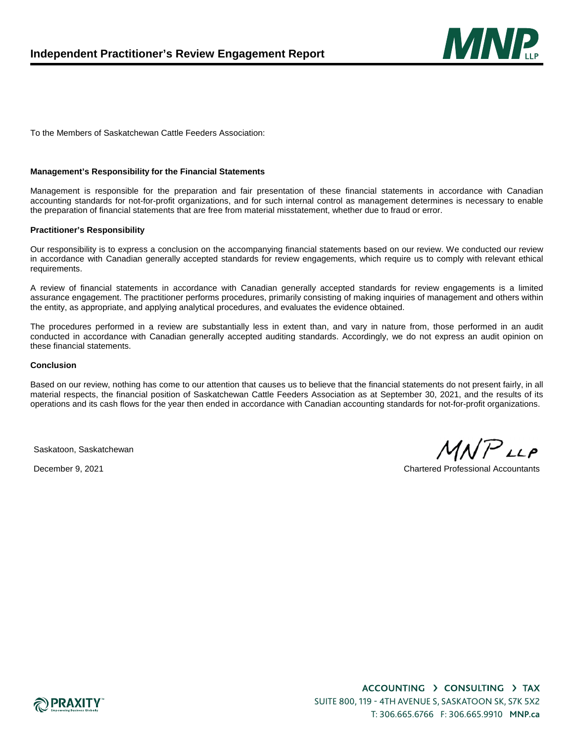

To the Members of Saskatchewan Cattle Feeders Association:

#### **Management's Responsibility for the Financial Statements**

Management is responsible for the preparation and fair presentation of these financial statements in accordance with Canadian accounting standards for not-for-profit organizations, and for such internal control as management determines is necessary to enable the preparation of financial statements that are free from material misstatement, whether due to fraud or error.

#### **Practitioner's Responsibility**

Our responsibility is to express a conclusion on the accompanying financial statements based on our review. We conducted our review in accordance with Canadian generally accepted standards for review engagements, which require us to comply with relevant ethical requirements.

A review of financial statements in accordance with Canadian generally accepted standards for review engagements is a limited assurance engagement. The practitioner performs procedures, primarily consisting of making inquiries of management and others within the entity, as appropriate, and applying analytical procedures, and evaluates the evidence obtained.

The procedures performed in a review are substantially less in extent than, and vary in nature from, those performed in an audit conducted in accordance with Canadian generally accepted auditing standards. Accordingly, we do not express an audit opinion on these financial statements.

#### **Conclusion**

Based on our review, nothing has come to our attention that causes us to believe that the financial statements do not present fairly, in all material respects, the financial position of Saskatchewan Cattle Feeders Association as at September 30, 2021, and the results of its operations and its cash flows for the year then ended in accordance with Canadian accounting standards for not-for-profit organizations.

Saskatoon, Saskatchewan

 $MNP$ LLP

December 9, 2021 Chartered Professional Accountants

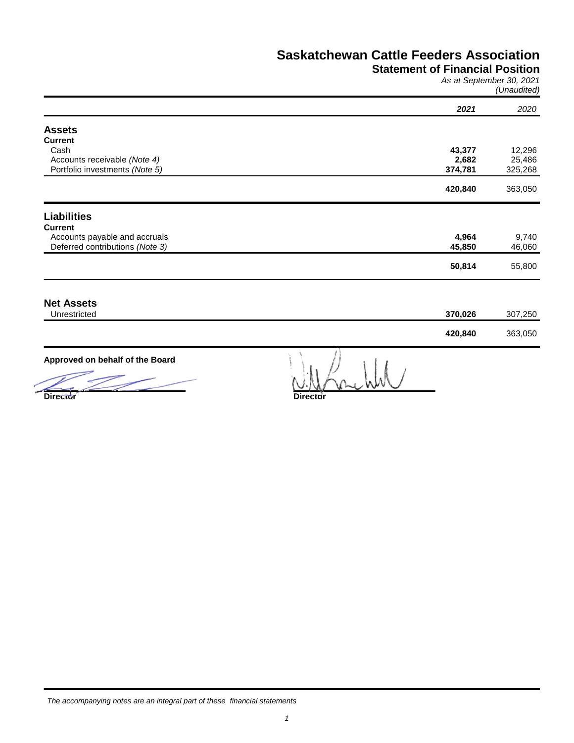## **Statement of Financial Position**

*As at September 30, 2021 (Unaudited)*

|                                 | 2021    | 2020    |
|---------------------------------|---------|---------|
| <b>Assets</b>                   |         |         |
| <b>Current</b>                  |         |         |
| Cash                            | 43,377  | 12,296  |
| Accounts receivable (Note 4)    | 2,682   | 25,486  |
| Portfolio investments (Note 5)  | 374,781 | 325,268 |
|                                 | 420,840 | 363,050 |
| <b>Liabilities</b>              |         |         |
| <b>Current</b>                  |         |         |
| Accounts payable and accruals   | 4,964   | 9,740   |
| Deferred contributions (Note 3) | 45,850  | 46,060  |
|                                 | 50,814  | 55,800  |
|                                 |         |         |
|                                 |         |         |
| Unrestricted                    | 370,026 | 307,250 |
|                                 | 420,840 | 363,050 |
| <b>Net Assets</b>               |         |         |

**Approved on behalf of the Board**

**Director Director**

 ${{\bf s}}$   ${{\bf s}}$   ${{\bf s}}$   ${{\bf s}}$   ${{\bf s}}$   ${{\bf s}}$   ${{\bf s}}$   ${{\bf s}}$   ${{\bf s}}$   ${{\bf s}}$   ${{\bf s}}$   ${{\bf s}}$   ${{\bf s}}$   ${{\bf s}}$   ${{\bf s}}$   ${{\bf s}}$   ${{\bf s}}$   ${{\bf s}}$   ${{\bf s}}$   ${{\bf s}}$   ${{\bf s}}$   ${{\bf s}}$   ${{\bf s}}$   ${{\bf s}}$   ${{\bf s}}$   ${{\bf s}}$   ${{\bf s}}$   ${{\bf s$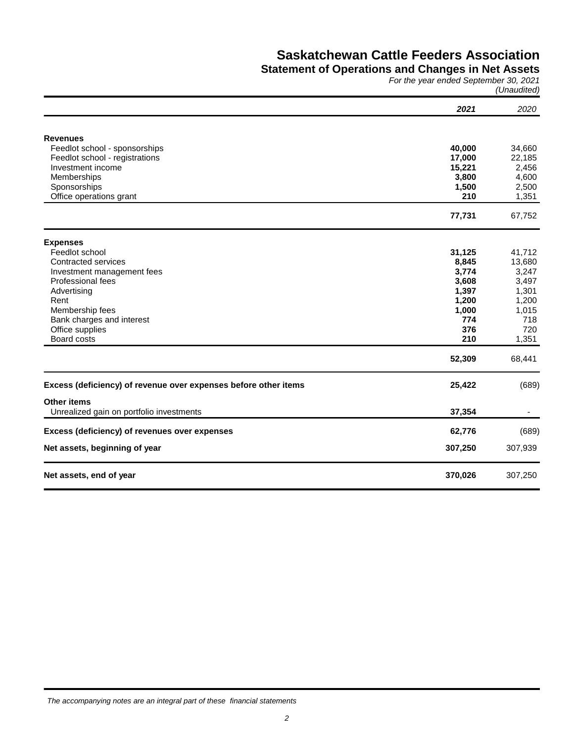### **Statement of Operations and Changes in Net Assets**

*For the year ended September 30, 2021 (Unaudited)*

|                                                                 | 2021           | 2020           |
|-----------------------------------------------------------------|----------------|----------------|
|                                                                 |                |                |
| <b>Revenues</b>                                                 |                |                |
| Feedlot school - sponsorships                                   | 40,000         | 34,660         |
| Feedlot school - registrations                                  | 17,000         | 22,185         |
| Investment income                                               | 15,221         | 2,456          |
| Memberships                                                     | 3,800          | 4,600          |
| Sponsorships                                                    | 1,500          | 2,500          |
| Office operations grant                                         | 210            | 1,351          |
|                                                                 | 77,731         | 67,752         |
|                                                                 |                |                |
| <b>Expenses</b><br>Feedlot school                               | 31,125         | 41,712         |
| Contracted services                                             | 8,845          | 13,680         |
|                                                                 | 3,774          | 3,247          |
| Investment management fees<br>Professional fees                 |                |                |
| Advertising                                                     | 3,608<br>1,397 | 3,497<br>1,301 |
| Rent                                                            |                |                |
|                                                                 | 1,200          | 1,200          |
| Membership fees                                                 | 1,000<br>774   | 1,015          |
| Bank charges and interest                                       | 376            | 718<br>720     |
| Office supplies                                                 |                |                |
| Board costs                                                     | 210            | 1,351          |
|                                                                 | 52,309         | 68,441         |
| Excess (deficiency) of revenue over expenses before other items | 25,422         | (689)          |
| <b>Other items</b>                                              |                |                |
| Unrealized gain on portfolio investments                        | 37,354         |                |
| Excess (deficiency) of revenues over expenses                   | 62,776         | (689)          |
| Net assets, beginning of year                                   | 307,250        | 307,939        |
| Net assets, end of year                                         | 370,026        | 307,250        |

*The accompanying notes are an integral part of these financial statements*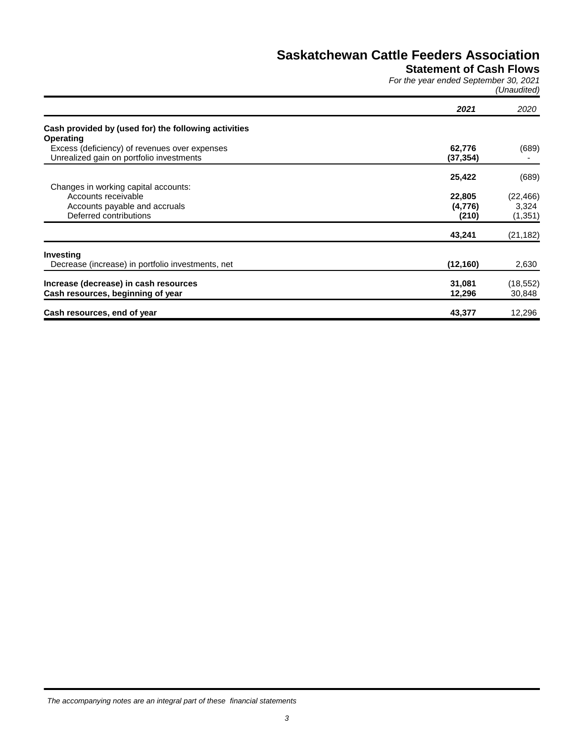# **Statement of Cash Flows**

*For the year ended September 30, 2021 (Unaudited)*

|                                                      | 2021      | 2020      |
|------------------------------------------------------|-----------|-----------|
| Cash provided by (used for) the following activities |           |           |
| Operating                                            |           |           |
| Excess (deficiency) of revenues over expenses        | 62,776    | (689)     |
| Unrealized gain on portfolio investments             | (37, 354) |           |
|                                                      | 25,422    | (689)     |
| Changes in working capital accounts:                 |           |           |
| Accounts receivable                                  | 22,805    | (22, 466) |
| Accounts payable and accruals                        | (4,776)   | 3,324     |
| Deferred contributions                               | (210)     | (1, 351)  |
|                                                      | 43,241    | (21, 182) |
| Investing                                            |           |           |
| Decrease (increase) in portfolio investments, net    | (12, 160) | 2,630     |
| Increase (decrease) in cash resources                | 31,081    | (18, 552) |
| Cash resources, beginning of year                    | 12,296    | 30,848    |
| Cash resources, end of year                          | 43,377    | 12,296    |

*The accompanying notes are an integral part of these financial statements*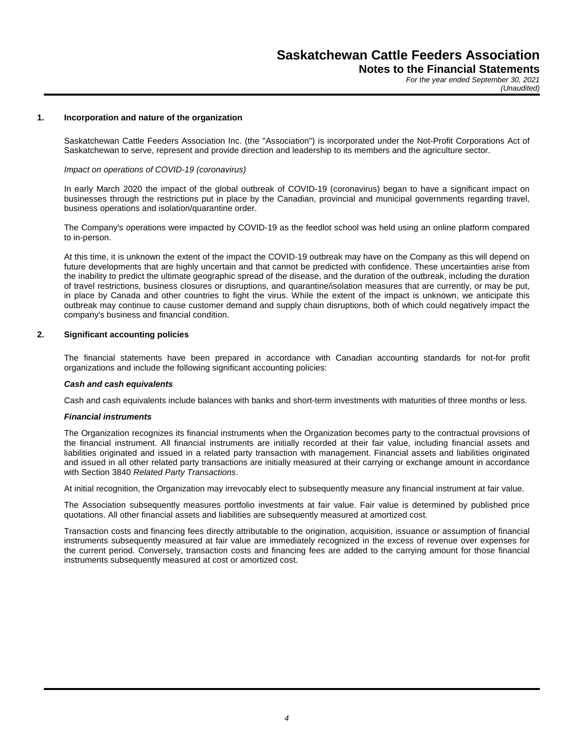*For the year ended September 30, 2021 (Unaudited)*

#### **1. Incorporation and nature of the organization**

Saskatchewan Cattle Feeders Association Inc. (the "Association") is incorporated under the Not-Profit Corporations Act of Saskatchewan to serve, represent and provide direction and leadership to its members and the agriculture sector.

#### *Impact on operations of COVID-19 (coronavirus)*

In early March 2020 the impact of the global outbreak of COVID-19 (coronavirus) began to have a significant impact on businesses through the restrictions put in place by the Canadian, provincial and municipal governments regarding travel, business operations and isolation/quarantine order.

The Company's operations were impacted by COVID-19 as the feedlot school was held using an online platform compared to in-person.

At this time, it is unknown the extent of the impact the COVID-19 outbreak may have on the Company as this will depend on future developments that are highly uncertain and that cannot be predicted with confidence. These uncertainties arise from the inability to predict the ultimate geographic spread of the disease, and the duration of the outbreak, including the duration of travel restrictions, business closures or disruptions, and quarantine/isolation measures that are currently, or may be put, in place by Canada and other countries to fight the virus. While the extent of the impact is unknown, we anticipate this outbreak may continue to cause customer demand and supply chain disruptions, both of which could negatively impact the company's business and financial condition.

#### **2. Significant accounting policies**

The financial statements have been prepared in accordance with Canadian accounting standards for not-for profit organizations and include the following significant accounting policies:

#### *Cash and cash equivalents*

Cash and cash equivalents include balances with banks and short-term investments with maturities of three months or less.

#### *Financial instruments*

The Organization recognizes its financial instruments when the Organization becomes party to the contractual provisions of the financial instrument. All financial instruments are initially recorded at their fair value, including financial assets and liabilities originated and issued in a related party transaction with management. Financial assets and liabilities originated and issued in all other related party transactions are initially measured at their carrying or exchange amount in accordance with Section 3840 *Related Party Transactions*.

At initial recognition, the Organization may irrevocably elect to subsequently measure any financial instrument at fair value.

The Association subsequently measures portfolio investments at fair value. Fair value is determined by published price quotations. All other financial assets and liabilities are subsequently measured at amortized cost.

Transaction costs and financing fees directly attributable to the origination, acquisition, issuance or assumption of financial instruments subsequently measured at fair value are immediately recognized in the excess of revenue over expenses for the current period. Conversely, transaction costs and financing fees are added to the carrying amount for those financial instruments subsequently measured at cost or amortized cost.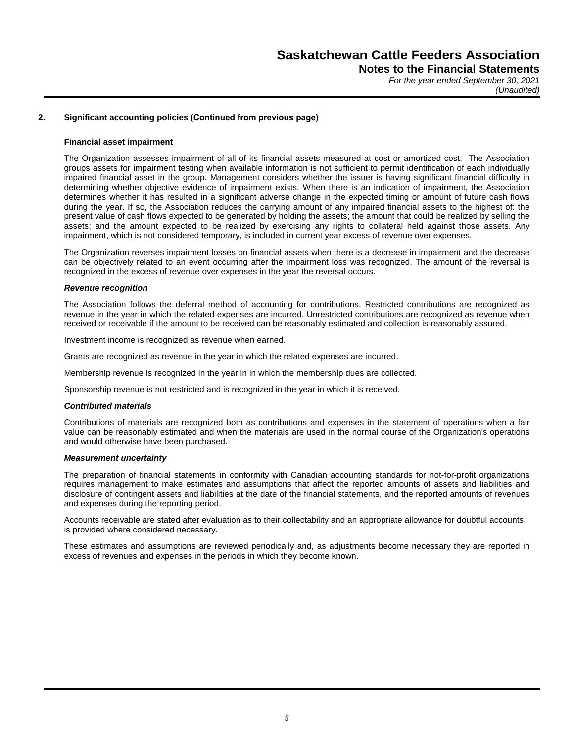*For the year ended September 30, 2021 (Unaudited)*

#### **2. Significant accounting policies (Continued from previous page)**

#### **Financial asset impairment**

The Organization assesses impairment of all of its financial assets measured at cost or amortized cost. The Association groups assets for impairment testing when available information is not sufficient to permit identification of each individually impaired financial asset in the group. Management considers whether the issuer is having significant financial difficulty in determining whether objective evidence of impairment exists. When there is an indication of impairment, the Association determines whether it has resulted in a significant adverse change in the expected timing or amount of future cash flows during the year. If so, the Association reduces the carrying amount of any impaired financial assets to the highest of: the present value of cash flows expected to be generated by holding the assets; the amount that could be realized by selling the assets; and the amount expected to be realized by exercising any rights to collateral held against those assets. Any impairment, which is not considered temporary, is included in current year excess of revenue over expenses.

The Organization reverses impairment losses on financial assets when there is a decrease in impairment and the decrease can be objectively related to an event occurring after the impairment loss was recognized. The amount of the reversal is recognized in the excess of revenue over expenses in the year the reversal occurs.

#### *Revenue recognition*

The Association follows the deferral method of accounting for contributions. Restricted contributions are recognized as revenue in the year in which the related expenses are incurred. Unrestricted contributions are recognized as revenue when received or receivable if the amount to be received can be reasonably estimated and collection is reasonably assured.

Investment income is recognized as revenue when earned.

Grants are recognized as revenue in the year in which the related expenses are incurred.

Membership revenue is recognized in the year in in which the membership dues are collected.

Sponsorship revenue is not restricted and is recognized in the year in which it is received.

#### *Contributed materials*

Contributions of materials are recognized both as contributions and expenses in the statement of operations when a fair value can be reasonably estimated and when the materials are used in the normal course of the Organization's operations and would otherwise have been purchased.

#### *Measurement uncertainty*

The preparation of financial statements in conformity with Canadian accounting standards for not-for-profit organizations requires management to make estimates and assumptions that affect the reported amounts of assets and liabilities and disclosure of contingent assets and liabilities at the date of the financial statements, and the reported amounts of revenues and expenses during the reporting period.

Accounts receivable are stated after evaluation as to their collectability and an appropriate allowance for doubtful accounts is provided where considered necessary.

These estimates and assumptions are reviewed periodically and, as adjustments become necessary they are reported in excess of revenues and expenses in the periods in which they become known.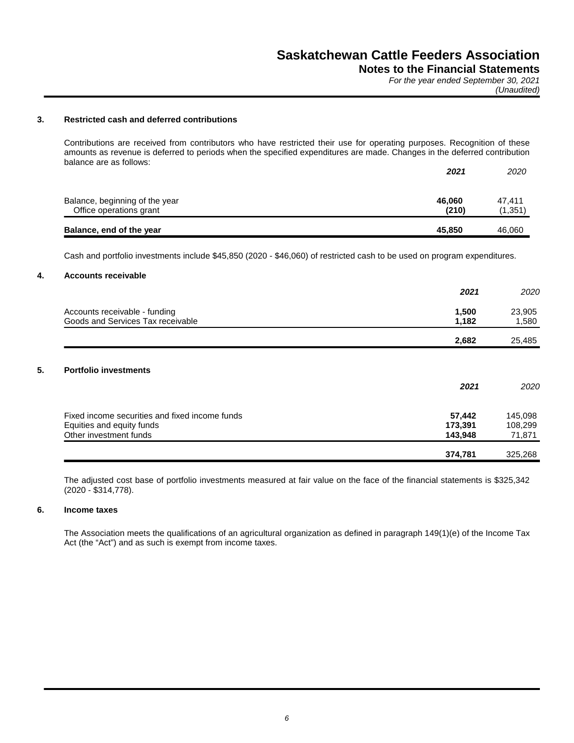*For the year ended September 30, 2021*

*(Unaudited)*

### **3. Restricted cash and deferred contributions**

Contributions are received from contributors who have restricted their use for operating purposes. Recognition of these amounts as revenue is deferred to periods when the specified expenditures are made. Changes in the deferred contribution balance are as follows:

|                                                           | 2021            | 2020               |
|-----------------------------------------------------------|-----------------|--------------------|
| Balance, beginning of the year<br>Office operations grant | 46.060<br>(210) | 47.411<br>(1, 351) |
| Balance, end of the year                                  | 45.850          | 46.060             |

Cash and portfolio investments include \$45,850 (2020 - \$46,060) of restricted cash to be used on program expenditures.

#### **4. Accounts receivable**

|                                                | 2021    | 2020    |
|------------------------------------------------|---------|---------|
| Accounts receivable - funding                  | 1,500   | 23,905  |
| Goods and Services Tax receivable              | 1,182   | 1,580   |
|                                                | 2,682   | 25,485  |
|                                                |         |         |
| <b>Portfolio investments</b>                   |         |         |
|                                                | 2021    | 2020    |
| Fixed income securities and fixed income funds | 57,442  | 145,098 |
| Equities and equity funds                      | 173,391 | 108,299 |
| Other investment funds                         | 143,948 | 71,871  |
|                                                | 374,781 | 325,268 |

The adjusted cost base of portfolio investments measured at fair value on the face of the financial statements is \$325,342 (2020 - \$314,778).

#### **6. Income taxes**

The Association meets the qualifications of an agricultural organization as defined in paragraph 149(1)(e) of the Income Tax Act (the "Act") and as such is exempt from income taxes.